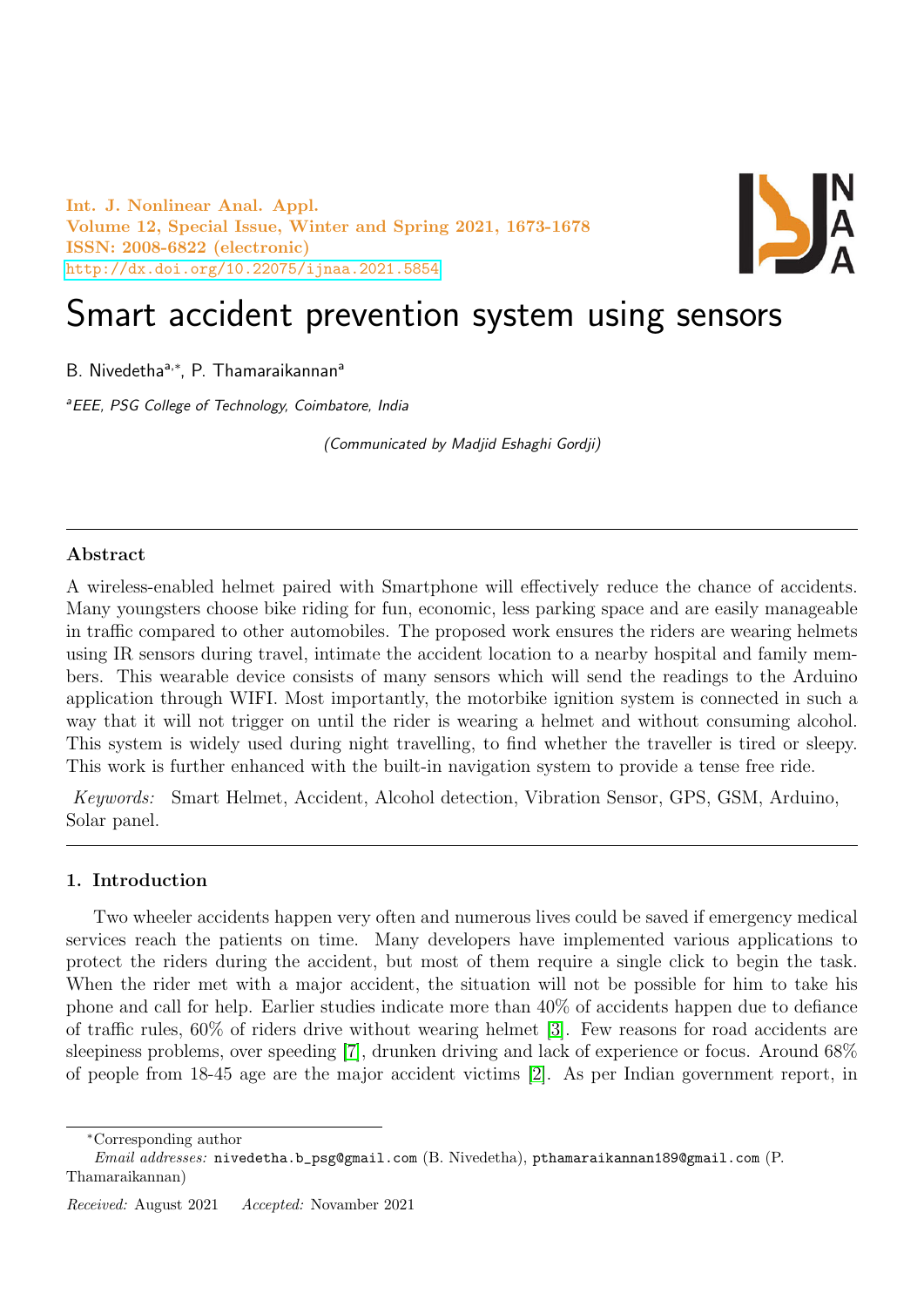Int. J. Nonlinear Anal. Appl. Volume 12, Special Issue, Winter and Spring 2021, 1673-1678 ISSN: 2008-6822 (electronic) <http://dx.doi.org/10.22075/ijnaa.2021.5854>



# Smart accident prevention system using sensors

B. Nivedetha<sup>a,\*</sup>, P. Thamaraikannan<sup>a</sup>

<sup>a</sup> EEE, PSG College of Technology, Coimbatore, India

(Communicated by Madjid Eshaghi Gordji)

## Abstract

A wireless-enabled helmet paired with Smartphone will effectively reduce the chance of accidents. Many youngsters choose bike riding for fun, economic, less parking space and are easily manageable in traffic compared to other automobiles. The proposed work ensures the riders are wearing helmets using IR sensors during travel, intimate the accident location to a nearby hospital and family members. This wearable device consists of many sensors which will send the readings to the Arduino application through WIFI. Most importantly, the motorbike ignition system is connected in such a way that it will not trigger on until the rider is wearing a helmet and without consuming alcohol. This system is widely used during night travelling, to find whether the traveller is tired or sleepy. This work is further enhanced with the built-in navigation system to provide a tense free ride.

Keywords: Smart Helmet, Accident, Alcohol detection, Vibration Sensor, GPS, GSM, Arduino, Solar panel.

## 1. Introduction

Two wheeler accidents happen very often and numerous lives could be saved if emergency medical services reach the patients on time. Many developers have implemented various applications to protect the riders during the accident, but most of them require a single click to begin the task. When the rider met with a major accident, the situation will not be possible for him to take his phone and call for help. Earlier studies indicate more than 40% of accidents happen due to defiance of traffic rules, 60% of riders drive without wearing helmet [\[3\]](#page-5-0). Few reasons for road accidents are sleepiness problems, over speeding [\[7\]](#page-5-1), drunken driving and lack of experience or focus. Around 68% of people from 18-45 age are the major accident victims [\[2\]](#page-5-2). As per Indian government report, in

<sup>∗</sup>Corresponding author

Email addresses: nivedetha.b\_psg@gmail.com (B. Nivedetha), pthamaraikannan189@gmail.com (P. Thamaraikannan)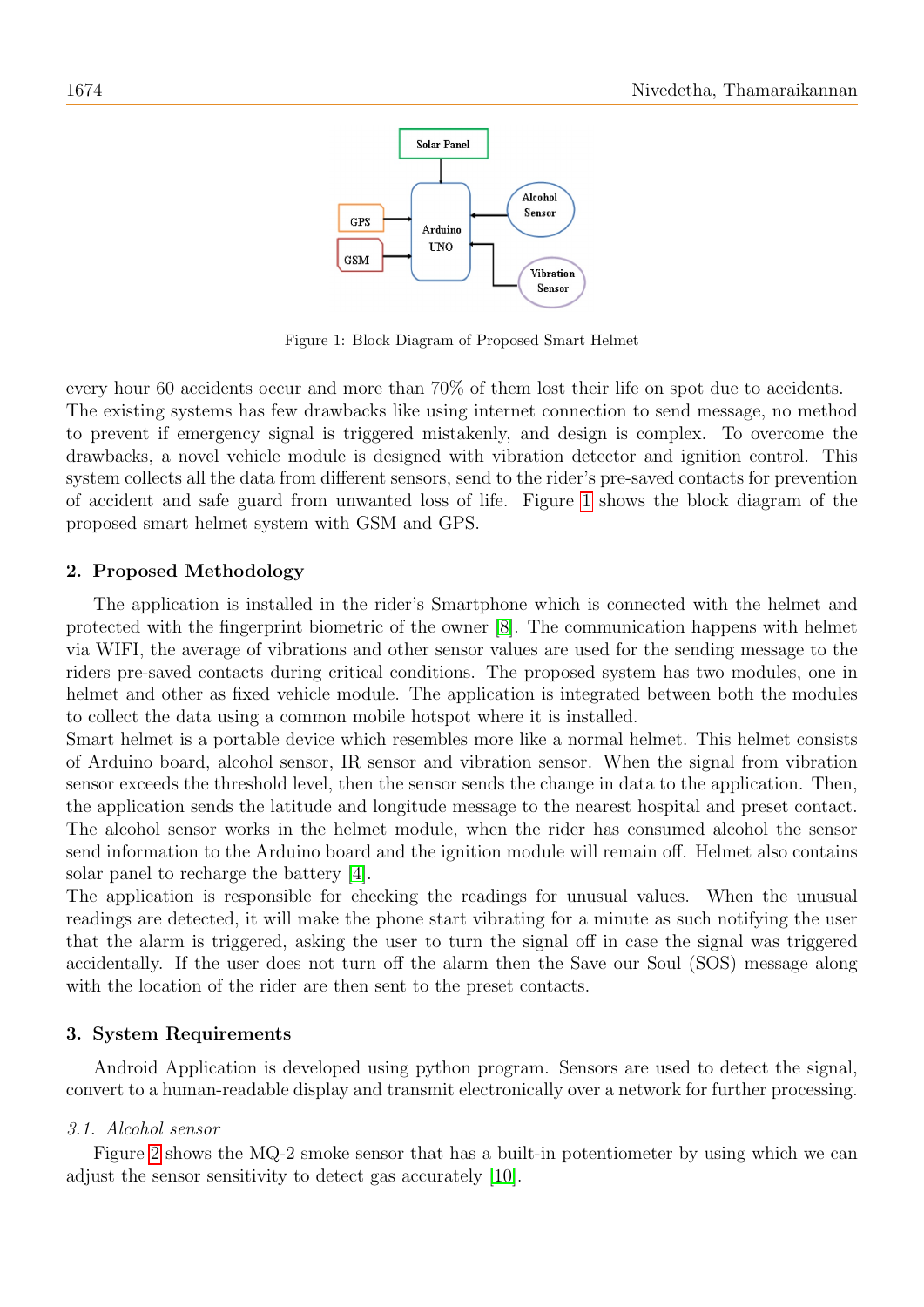

<span id="page-1-0"></span>Figure 1: Block Diagram of Proposed Smart Helmet

every hour 60 accidents occur and more than 70% of them lost their life on spot due to accidents. The existing systems has few drawbacks like using internet connection to send message, no method to prevent if emergency signal is triggered mistakenly, and design is complex. To overcome the drawbacks, a novel vehicle module is designed with vibration detector and ignition control. This system collects all the data from different sensors, send to the rider's pre-saved contacts for prevention of accident and safe guard from unwanted loss of life. Figure [1](#page-1-0) shows the block diagram of the proposed smart helmet system with GSM and GPS.

#### 2. Proposed Methodology

The application is installed in the rider's Smartphone which is connected with the helmet and protected with the fingerprint biometric of the owner [\[8\]](#page-5-3). The communication happens with helmet via WIFI, the average of vibrations and other sensor values are used for the sending message to the riders pre-saved contacts during critical conditions. The proposed system has two modules, one in helmet and other as fixed vehicle module. The application is integrated between both the modules to collect the data using a common mobile hotspot where it is installed.

Smart helmet is a portable device which resembles more like a normal helmet. This helmet consists of Arduino board, alcohol sensor, IR sensor and vibration sensor. When the signal from vibration sensor exceeds the threshold level, then the sensor sends the change in data to the application. Then, the application sends the latitude and longitude message to the nearest hospital and preset contact. The alcohol sensor works in the helmet module, when the rider has consumed alcohol the sensor send information to the Arduino board and the ignition module will remain off. Helmet also contains solar panel to recharge the battery [\[4\]](#page-5-4).

The application is responsible for checking the readings for unusual values. When the unusual readings are detected, it will make the phone start vibrating for a minute as such notifying the user that the alarm is triggered, asking the user to turn the signal off in case the signal was triggered accidentally. If the user does not turn off the alarm then the Save our Soul (SOS) message along with the location of the rider are then sent to the preset contacts.

#### 3. System Requirements

Android Application is developed using python program. Sensors are used to detect the signal, convert to a human-readable display and transmit electronically over a network for further processing.

#### 3.1. Alcohol sensor

Figure [2](#page-2-0) shows the MQ-2 smoke sensor that has a built-in potentiometer by using which we can adjust the sensor sensitivity to detect gas accurately [\[10\]](#page-5-5).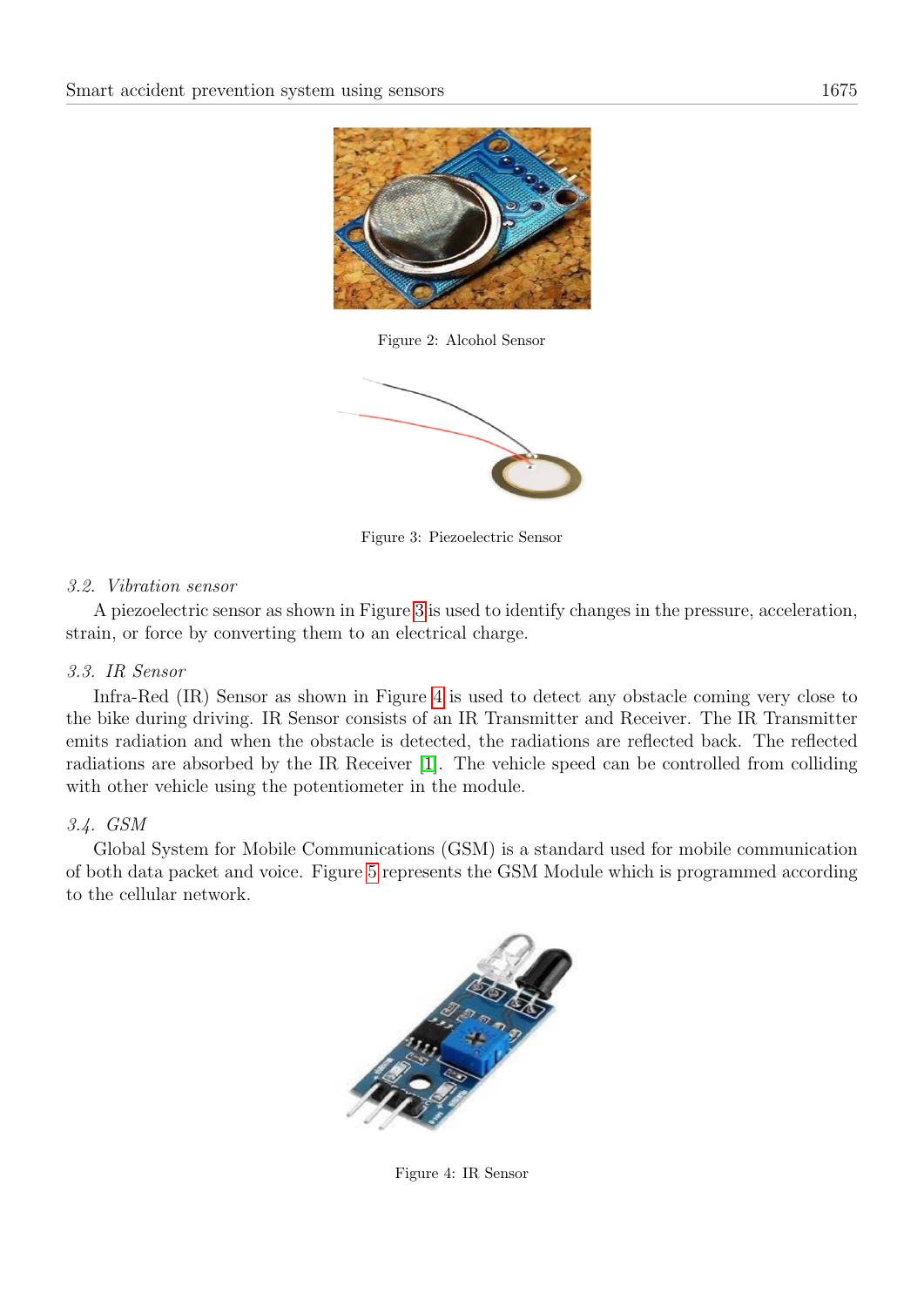

Figure 2: Alcohol Sensor

<span id="page-2-0"></span>

<span id="page-2-1"></span>Figure 3: Piezoelectric Sensor

## 3.2. Vibration sensor

A piezoelectric sensor as shown in Figure [3](#page-2-1) is used to identify changes in the pressure, acceleration, strain, or force by converting them to an electrical charge.

## 3.3. IR Sensor

Infra-Red (IR) Sensor as shown in Figure [4](#page-2-2) is used to detect any obstacle coming very close to the bike during driving. IR Sensor consists of an IR Transmitter and Receiver. The IR Transmitter emits radiation and when the obstacle is detected, the radiations are reflected back. The reflected radiations are absorbed by the IR Receiver [\[1\]](#page-5-6). The vehicle speed can be controlled from colliding with other vehicle using the potentiometer in the module.

## 3.4. GSM

Global System for Mobile Communications (GSM) is a standard used for mobile communication of both data packet and voice. Figure [5](#page-3-0) represents the GSM Module which is programmed according to the cellular network.

<span id="page-2-2"></span>

Figure 4: IR Sensor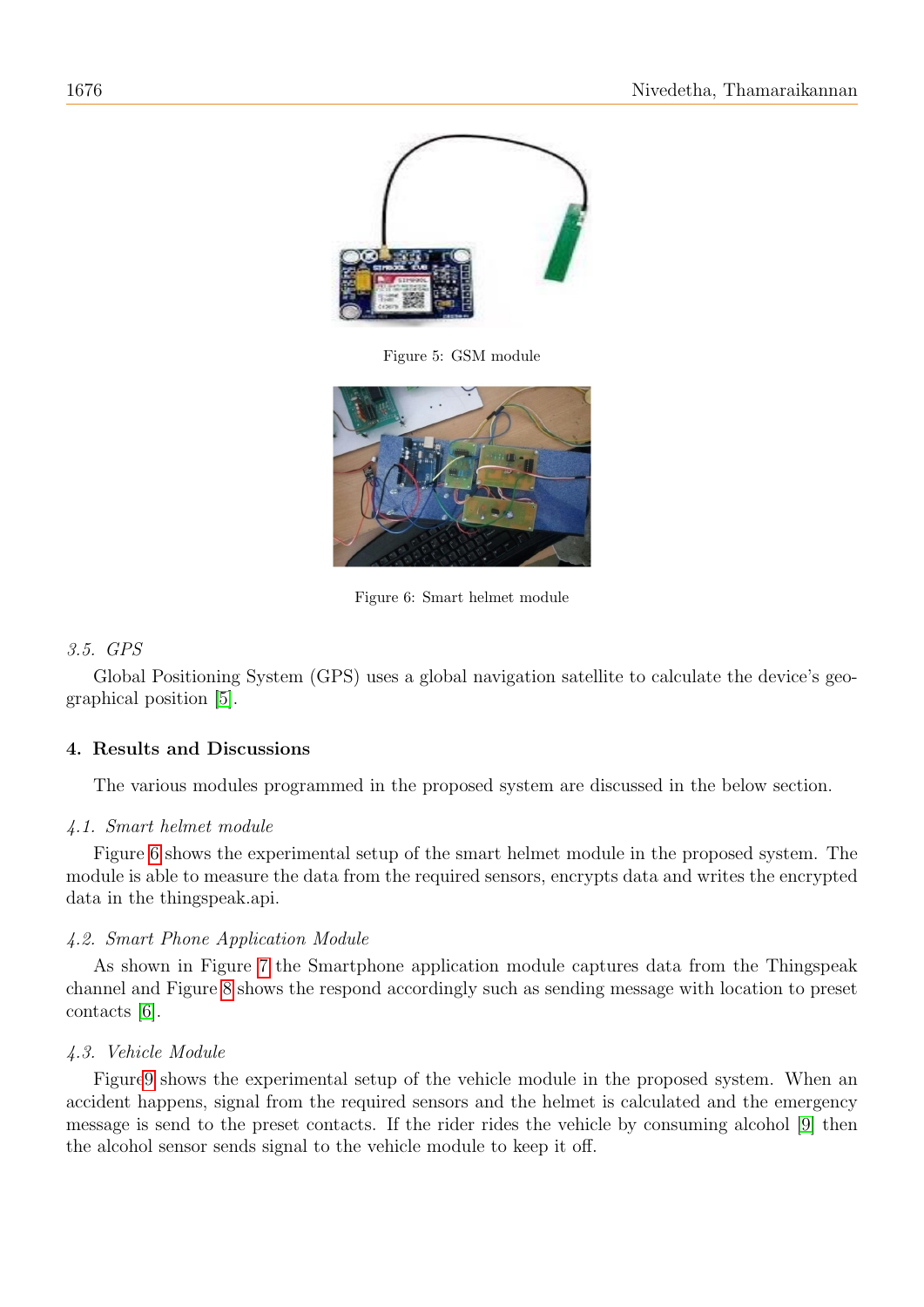

Figure 5: GSM module

<span id="page-3-1"></span><span id="page-3-0"></span>

Figure 6: Smart helmet module

## 3.5. GPS

Global Positioning System (GPS) uses a global navigation satellite to calculate the device's geographical position [\[5\]](#page-5-7).

## 4. Results and Discussions

The various modules programmed in the proposed system are discussed in the below section.

## 4.1. Smart helmet module

Figure [6](#page-3-1) shows the experimental setup of the smart helmet module in the proposed system. The module is able to measure the data from the required sensors, encrypts data and writes the encrypted data in the thingspeak.api.

## 4.2. Smart Phone Application Module

As shown in Figure [7](#page-4-0) the Smartphone application module captures data from the Thingspeak channel and Figure [8](#page-4-1) shows the respond accordingly such as sending message with location to preset contacts [\[6\]](#page-5-8).

## 4.3. Vehicle Module

Figur[e9](#page-4-2) shows the experimental setup of the vehicle module in the proposed system. When an accident happens, signal from the required sensors and the helmet is calculated and the emergency message is send to the preset contacts. If the rider rides the vehicle by consuming alcohol [\[9\]](#page-5-9) then the alcohol sensor sends signal to the vehicle module to keep it off.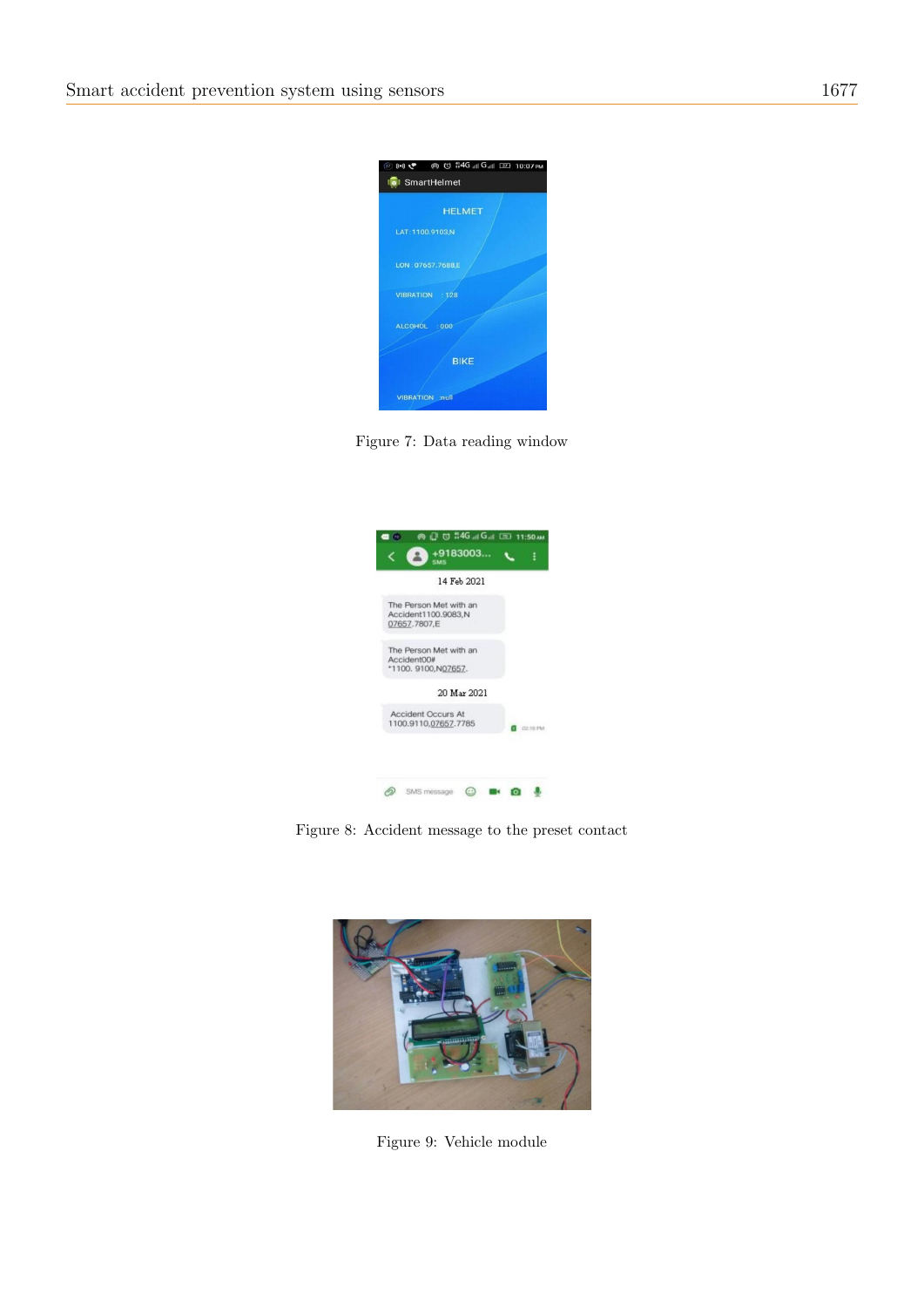

Figure 7: Data reading window

<span id="page-4-0"></span>

Figure 8: Accident message to the preset contact

<span id="page-4-2"></span><span id="page-4-1"></span>

Figure 9: Vehicle module